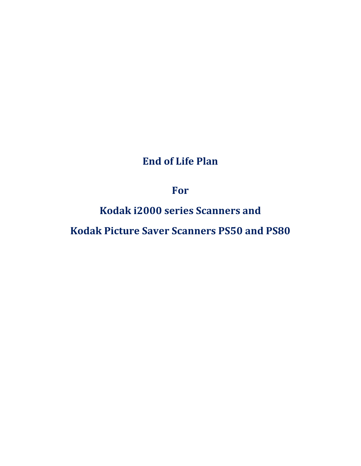# End of Life Plan

For

Kodak i2000 series Scanners and

Kodak Picture Saver Scanners PS50 and PS80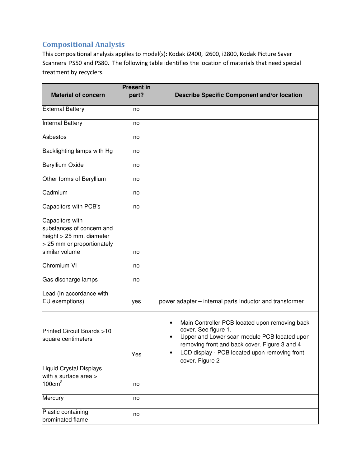# Compositional Analysis

This compositional analysis applies to model(s): Kodak i2400, i2600, i2800, Kodak Picture Saver Scanners PS50 and PS80. The following table identifies the location of materials that need special treatment by recyclers.

|                                                                                                                          | <b>Present in</b> |                                                                                                                                                                                                                                                                       |
|--------------------------------------------------------------------------------------------------------------------------|-------------------|-----------------------------------------------------------------------------------------------------------------------------------------------------------------------------------------------------------------------------------------------------------------------|
| <b>Material of concern</b>                                                                                               | part?             | <b>Describe Specific Component and/or location</b>                                                                                                                                                                                                                    |
| <b>External Battery</b>                                                                                                  | no                |                                                                                                                                                                                                                                                                       |
| <b>Internal Battery</b>                                                                                                  | no                |                                                                                                                                                                                                                                                                       |
| <b>Asbestos</b>                                                                                                          | no                |                                                                                                                                                                                                                                                                       |
| Backlighting lamps with Hg                                                                                               | no                |                                                                                                                                                                                                                                                                       |
| <b>Beryllium Oxide</b>                                                                                                   | no                |                                                                                                                                                                                                                                                                       |
| Other forms of Beryllium                                                                                                 | no                |                                                                                                                                                                                                                                                                       |
| Cadmium                                                                                                                  | no                |                                                                                                                                                                                                                                                                       |
| Capacitors with PCB's                                                                                                    | no                |                                                                                                                                                                                                                                                                       |
| Capacitors with<br>substances of concern and<br>height > 25 mm, diameter<br>> 25 mm or proportionately<br>similar volume | no                |                                                                                                                                                                                                                                                                       |
| <b>Chromium VI</b>                                                                                                       | no                |                                                                                                                                                                                                                                                                       |
| Gas discharge lamps                                                                                                      | no                |                                                                                                                                                                                                                                                                       |
| Lead (In accordance with<br>EU exemptions)                                                                               | yes               | power adapter – internal parts Inductor and transformer                                                                                                                                                                                                               |
| Printed Circuit Boards >10<br>square centimeters                                                                         | Yes               | Main Controller PCB located upon removing back<br>$\bullet$<br>cover. See figure 1.<br>Upper and Lower scan module PCB located upon<br>$\bullet$<br>removing front and back cover. Figure 3 and 4<br>LCD display - PCB located upon removing front<br>cover. Figure 2 |
| <b>Liquid Crystal Displays</b>                                                                                           |                   |                                                                                                                                                                                                                                                                       |
| with a surface area ><br>100cm <sup>2</sup>                                                                              | no                |                                                                                                                                                                                                                                                                       |
| Mercury                                                                                                                  | no                |                                                                                                                                                                                                                                                                       |
| Plastic containing<br>brominated flame                                                                                   | no                |                                                                                                                                                                                                                                                                       |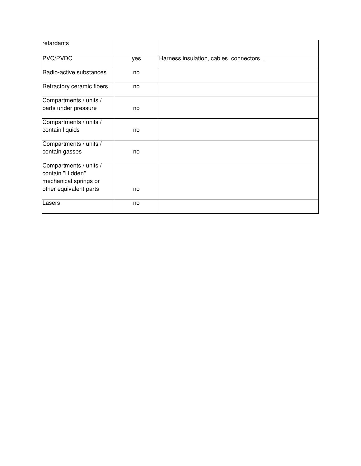| retardants                                                          |     |                                        |
|---------------------------------------------------------------------|-----|----------------------------------------|
| PVC/PVDC                                                            | yes | Harness insulation, cables, connectors |
| Radio-active substances                                             | no  |                                        |
| Refractory ceramic fibers                                           | no  |                                        |
| Compartments / units /<br>parts under pressure                      | no  |                                        |
|                                                                     |     |                                        |
| Compartments / units /<br>contain liquids                           | no  |                                        |
| Compartments / units /<br>contain gasses                            | no  |                                        |
| Compartments / units /<br>contain "Hidden"<br>mechanical springs or |     |                                        |
| other equivalent parts                                              | no  |                                        |
| Lasers                                                              | no  |                                        |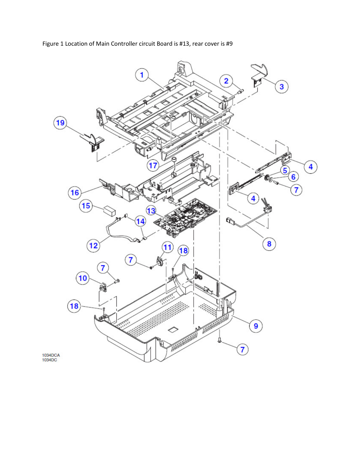Figure 1 Location of Main Controller circuit Board is #13, rear cover is #9

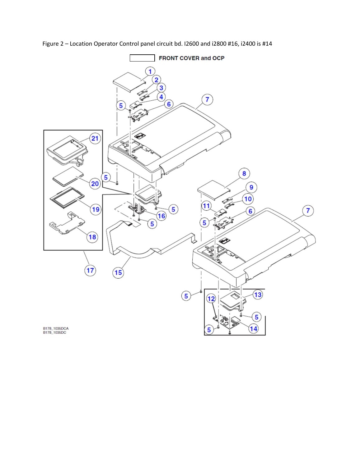Figure 2 – Location Operator Control panel circuit bd. I2600 and i2800 #16, i2400 is #14

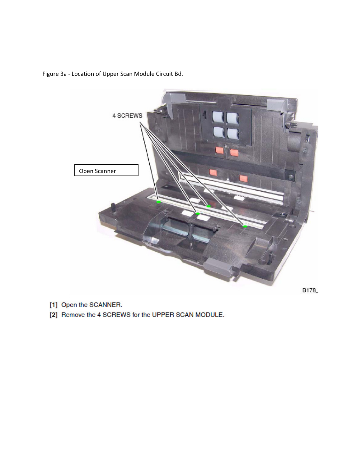

Figure 3a - Location of Upper Scan Module Circuit Bd.

- [1] Open the SCANNER.
- [2] Remove the 4 SCREWS for the UPPER SCAN MODULE.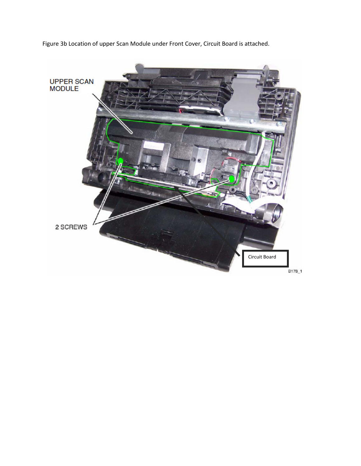Figure 3b Location of upper Scan Module under Front Cover, Circuit Board is attached.

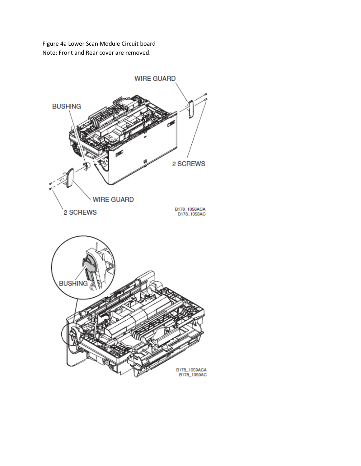Figure 4a Lower Scan Module Circuit board Note: Front and Rear cover are removed.

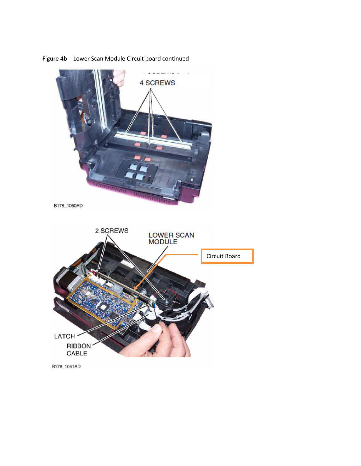

Figure 4b - Lower Scan Module Circuit board continued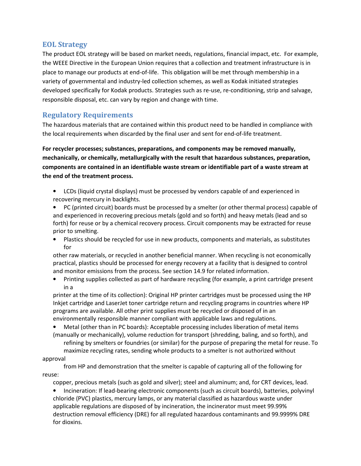## EOL Strategy

The product EOL strategy will be based on market needs, regulations, financial impact, etc. For example, the WEEE Directive in the European Union requires that a collection and treatment infrastructure is in place to manage our products at end-of-life. This obligation will be met through membership in a variety of governmental and industry-led collection schemes, as well as Kodak initiated strategies developed specifically for Kodak products. Strategies such as re-use, re-conditioning, strip and salvage, responsible disposal, etc. can vary by region and change with time.

# Regulatory Requirements

The hazardous materials that are contained within this product need to be handled in compliance with the local requirements when discarded by the final user and sent for end-of-life treatment.

For recycler processes; substances, preparations, and components may be removed manually, mechanically, or chemically, metallurgically with the result that hazardous substances, preparation, components are contained in an identifiable waste stream or identifiable part of a waste stream at the end of the treatment process.

- LCDs (liquid crystal displays) must be processed by vendors capable of and experienced in recovering mercury in backlights.
- PC (printed circuit) boards must be processed by a smelter (or other thermal process) capable of and experienced in recovering precious metals (gold and so forth) and heavy metals (lead and so forth) for reuse or by a chemical recovery process. Circuit components may be extracted for reuse prior to smelting.
- Plastics should be recycled for use in new products, components and materials, as substitutes for

other raw materials, or recycled in another beneficial manner. When recycling is not economically practical, plastics should be processed for energy recovery at a facility that is designed to control and monitor emissions from the process. See section 14.9 for related information.

• Printing supplies collected as part of hardware recycling (for example, a print cartridge present in a

printer at the time of its collection): Original HP printer cartridges must be processed using the HP Inkjet cartridge and LaserJet toner cartridge return and recycling programs in countries where HP programs are available. All other print supplies must be recycled or disposed of in an environmentally responsible manner compliant with applicable laws and regulations.

• Metal (other than in PC boards): Acceptable processing includes liberation of metal items (manually or mechanically), volume reduction for transport (shredding, baling, and so forth), and refining by smelters or foundries (or similar) for the purpose of preparing the metal for reuse. To

maximize recycling rates, sending whole products to a smelter is not authorized without approval

### from HP and demonstration that the smelter is capable of capturing all of the following for reuse:

copper, precious metals (such as gold and silver); steel and aluminum; and, for CRT devices, lead.

• Incineration: If lead-bearing electronic components (such as circuit boards), batteries, polyvinyl chloride (PVC) plastics, mercury lamps, or any material classified as hazardous waste under applicable regulations are disposed of by incineration, the incinerator must meet 99.99% destruction removal efficiency (DRE) for all regulated hazardous contaminants and 99.9999% DRE for dioxins.